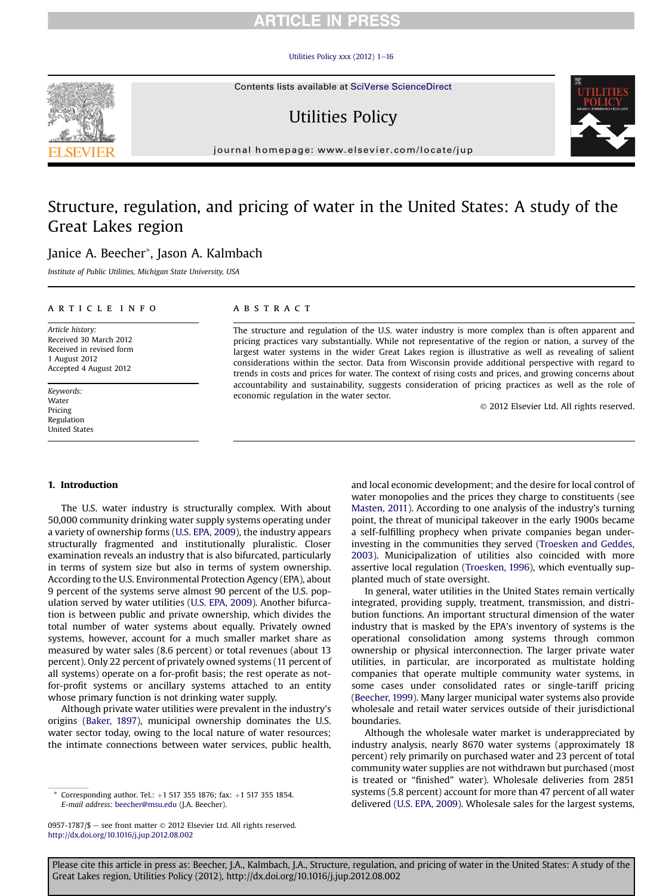## **RTICLE IN PRESS**

#### Utilities Policy xxx  $(2012)$  1-[16](http://dx.doi.org/10.1016/j.jup.2012.08.002)

Contents lists available at SciVerse ScienceDirect

# Utilities Policy

journal homepage: [www.elsevier.com/locate/jup](http://www.elsevier.com/locate/jup)

## Structure, regulation, and pricing of water in the United States: A study of the Great Lakes region

### Janice A. Beecher\*, Jason A. Kalmbach

Institute of Public Utilities, Michigan State University, USA

#### article info

Article history: Received 30 March 2012 Received in revised form 1 August 2012 Accepted 4 August 2012

Keywords: Water Pricing Regulation United States

#### **ABSTRACT**

The structure and regulation of the U.S. water industry is more complex than is often apparent and pricing practices vary substantially. While not representative of the region or nation, a survey of the largest water systems in the wider Great Lakes region is illustrative as well as revealing of salient considerations within the sector. Data from Wisconsin provide additional perspective with regard to trends in costs and prices for water. The context of rising costs and prices, and growing concerns about accountability and sustainability, suggests consideration of pricing practices as well as the role of economic regulation in the water sector.

2012 Elsevier Ltd. All rights reserved.

#### 1. Introduction

The U.S. water industry is structurally complex. With about 50,000 community drinking water supply systems operating under a variety of ownership forms ([U.S. EPA, 2009\)](#page--1-0), the industry appears structurally fragmented and institutionally pluralistic. Closer examination reveals an industry that is also bifurcated, particularly in terms of system size but also in terms of system ownership. According to the U.S. Environmental Protection Agency (EPA), about 9 percent of the systems serve almost 90 percent of the U.S. population served by water utilities [\(U.S. EPA, 2009](#page--1-0)). Another bifurcation is between public and private ownership, which divides the total number of water systems about equally. Privately owned systems, however, account for a much smaller market share as measured by water sales (8.6 percent) or total revenues (about 13 percent). Only 22 percent of privately owned systems (11 percent of all systems) operate on a for-profit basis; the rest operate as notfor-profit systems or ancillary systems attached to an entity whose primary function is not drinking water supply.

Although private water utilities were prevalent in the industry's origins [\(Baker, 1897](#page--1-0)), municipal ownership dominates the U.S. water sector today, owing to the local nature of water resources; the intimate connections between water services, public health, and local economic development; and the desire for local control of water monopolies and the prices they charge to constituents (see [Masten, 2011\)](#page--1-0). According to one analysis of the industry's turning point, the threat of municipal takeover in the early 1900s became a self-fulfilling prophecy when private companies began underinvesting in the communities they served [\(Troesken and Geddes,](#page--1-0) [2003\)](#page--1-0). Municipalization of utilities also coincided with more assertive local regulation ([Troesken, 1996](#page--1-0)), which eventually supplanted much of state oversight.

In general, water utilities in the United States remain vertically integrated, providing supply, treatment, transmission, and distribution functions. An important structural dimension of the water industry that is masked by the EPA's inventory of systems is the operational consolidation among systems through common ownership or physical interconnection. The larger private water utilities, in particular, are incorporated as multistate holding companies that operate multiple community water systems, in some cases under consolidated rates or single-tariff pricing ([Beecher, 1999](#page--1-0)). Many larger municipal water systems also provide wholesale and retail water services outside of their jurisdictional boundaries.

Although the wholesale water market is underappreciated by industry analysis, nearly 8670 water systems (approximately 18 percent) rely primarily on purchased water and 23 percent of total community water supplies are not withdrawn but purchased (most is treated or "finished" water). Wholesale deliveries from 2851 systems (5.8 percent) account for more than 47 percent of all water delivered [\(U.S. EPA, 2009\)](#page--1-0). Wholesale sales for the largest systems,



Corresponding author. Tel.:  $+1$  517 355 1876; fax:  $+1$  517 355 1854. E-mail address: [beecher@msu.edu](mailto:beecher@msu.edu) (J.A. Beecher).

<sup>0957-1787/\$</sup>  $-$  see front matter  $\odot$  2012 Elsevier Ltd. All rights reserved. <http://dx.doi.org/10.1016/j.jup.2012.08.002>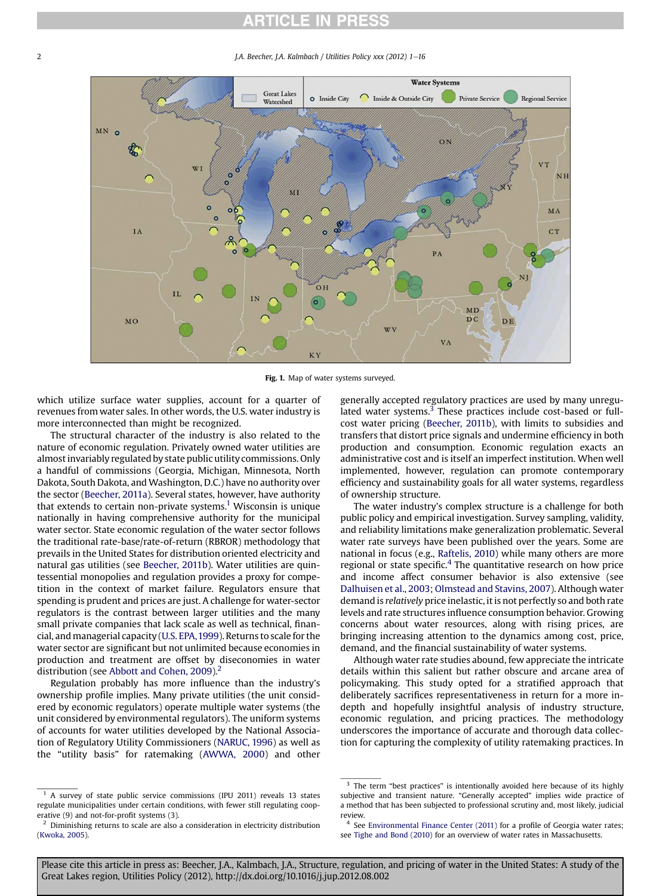## **RTICLE IN PRESS**

2 J.A. Beecher, J.A. Kalmbach / Utilities Policy xxx (2012) 1–16



Fig. 1. Map of water systems surveyed.

which utilize surface water supplies, account for a quarter of revenues from water sales. In other words, the U.S. water industry is more interconnected than might be recognized.

The structural character of the industry is also related to the nature of economic regulation. Privately owned water utilities are almost invariably regulated by state public utility commissions. Only a handful of commissions (Georgia, Michigan, Minnesota, North Dakota, South Dakota, and Washington, D.C.) have no authority over the sector [\(Beecher, 2011a\)](#page--1-0). Several states, however, have authority that extends to certain non-private systems.<sup>1</sup> Wisconsin is unique nationally in having comprehensive authority for the municipal water sector. State economic regulation of the water sector follows the traditional rate-base/rate-of-return (RBROR) methodology that prevails in the United States for distribution oriented electricity and natural gas utilities (see [Beecher, 2011b](#page--1-0)). Water utilities are quintessential monopolies and regulation provides a proxy for competition in the context of market failure. Regulators ensure that spending is prudent and prices are just. A challenge for water-sector regulators is the contrast between larger utilities and the many small private companies that lack scale as well as technical, financial, and managerial capacity [\(U.S. EPA,1999](#page--1-0)). Returns to scale for the water sector are significant but not unlimited because economies in production and treatment are offset by diseconomies in water distribution (see [Abbott and Cohen, 2009\)](#page--1-0).<sup>2</sup>

Regulation probably has more influence than the industry's ownership profile implies. Many private utilities (the unit considered by economic regulators) operate multiple water systems (the unit considered by environmental regulators). The uniform systems of accounts for water utilities developed by the National Association of Regulatory Utility Commissioners ([NARUC, 1996\)](#page--1-0) as well as the "utility basis" for ratemaking [\(AWWA, 2000\)](#page--1-0) and other

<sup>1</sup> A survey of state public service commissions (IPU 2011) reveals 13 states regulate municipalities under certain conditions, with fewer still regulating cooperative (9) and not-for-profit systems (3).

generally accepted regulatory practices are used by many unregulated water systems.<sup>3</sup> These practices include cost-based or fullcost water pricing [\(Beecher, 2011b\)](#page--1-0), with limits to subsidies and transfers that distort price signals and undermine efficiency in both production and consumption. Economic regulation exacts an administrative cost and is itself an imperfect institution. When well implemented, however, regulation can promote contemporary efficiency and sustainability goals for all water systems, regardless of ownership structure.

The water industry's complex structure is a challenge for both public policy and empirical investigation. Survey sampling, validity, and reliability limitations make generalization problematic. Several water rate surveys have been published over the years. Some are national in focus (e.g., [Raftelis, 2010\)](#page--1-0) while many others are more regional or state specific. $4$  The quantitative research on how price and income affect consumer behavior is also extensive (see [Dalhuisen et al., 2003](#page--1-0); [Olmstead and Stavins, 2007](#page--1-0)). Although water demand is relatively price inelastic, it is not perfectly so and both rate levels and rate structures influence consumption behavior. Growing concerns about water resources, along with rising prices, are bringing increasing attention to the dynamics among cost, price, demand, and the financial sustainability of water systems.

Although water rate studies abound, few appreciate the intricate details within this salient but rather obscure and arcane area of policymaking. This study opted for a stratified approach that deliberately sacrifices representativeness in return for a more indepth and hopefully insightful analysis of industry structure, economic regulation, and pricing practices. The methodology underscores the importance of accurate and thorough data collection for capturing the complexity of utility ratemaking practices. In

Please cite this article in press as: Beecher, J.A., Kalmbach, J.A., Structure, regulation, and pricing of water in the United States: A study of the Great Lakes region, Utilities Policy (2012), http://dx.doi.org/10.1016/j.jup.2012.08.002

<sup>&</sup>lt;sup>2</sup> Diminishing returns to scale are also a consideration in electricity distribution [\(Kwoka, 2005](#page--1-0)).

 $3$  The term "best practices" is intentionally avoided here because of its highly subjective and transient nature. "Generally accepted" implies wide practice of a method that has been subjected to professional scrutiny and, most likely, judicial review.

<sup>4</sup> See [Environmental Finance Center \(2011\)](#page--1-0) for a profile of Georgia water rates; see [Tighe and Bond \(2010\)](#page--1-0) for an overview of water rates in Massachusetts.